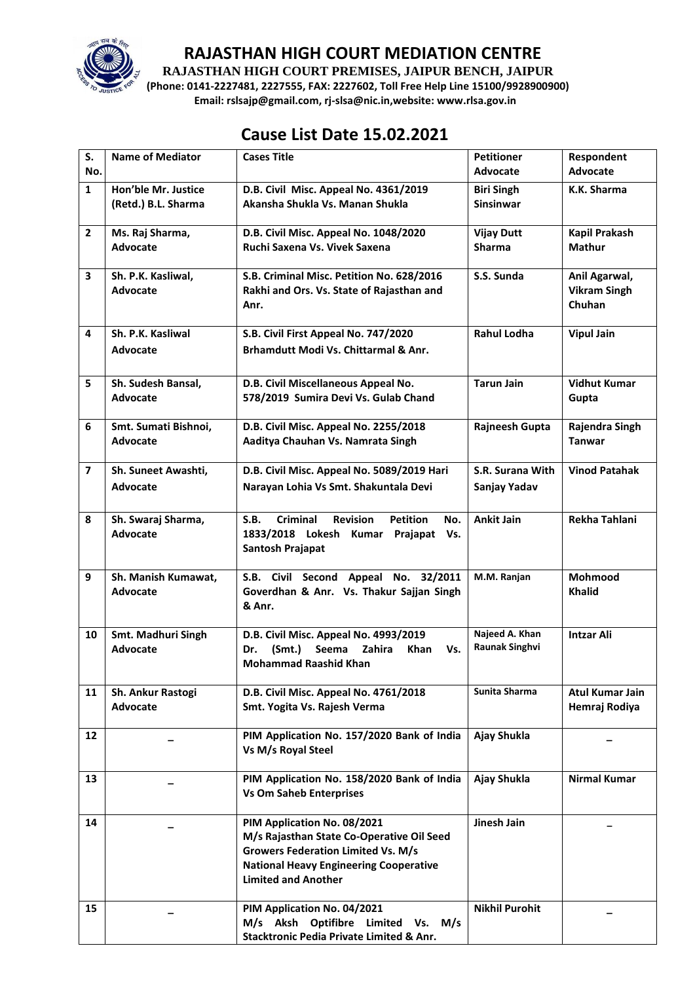

### **RAJASTHAN HIGH COURT MEDIATION CENTRE**

**RAJASTHAN HIGH COURT PREMISES, JAIPUR BENCH, JAIPUR**

**(Phone: 0141-2227481, 2227555, FAX: 2227602, Toll Free Help Line 15100/9928900900) Email: rslsajp@gmail.com, rj-slsa@nic.in,website: www.rlsa.gov.in**

## **Cause List Date 15.02.2021**

| S.                      | <b>Name of Mediator</b>                    | <b>Cases Title</b>                                                                                                                                                                                   | <b>Petitioner</b>                       | Respondent                                     |
|-------------------------|--------------------------------------------|------------------------------------------------------------------------------------------------------------------------------------------------------------------------------------------------------|-----------------------------------------|------------------------------------------------|
| No.                     |                                            |                                                                                                                                                                                                      | <b>Advocate</b>                         | Advocate                                       |
| $\mathbf{1}$            | Hon'ble Mr. Justice<br>(Retd.) B.L. Sharma | D.B. Civil Misc. Appeal No. 4361/2019<br>Akansha Shukla Vs. Manan Shukla                                                                                                                             | <b>Biri Singh</b><br><b>Sinsinwar</b>   | K.K. Sharma                                    |
| $\overline{2}$          | Ms. Raj Sharma,<br>Advocate                | D.B. Civil Misc. Appeal No. 1048/2020<br>Ruchi Saxena Vs. Vivek Saxena                                                                                                                               | <b>Vijay Dutt</b><br><b>Sharma</b>      | Kapil Prakash<br><b>Mathur</b>                 |
| 3                       | Sh. P.K. Kasliwal,<br><b>Advocate</b>      | S.B. Criminal Misc. Petition No. 628/2016<br>Rakhi and Ors. Vs. State of Rajasthan and<br>Anr.                                                                                                       | S.S. Sunda                              | Anil Agarwal,<br><b>Vikram Singh</b><br>Chuhan |
| 4                       | Sh. P.K. Kasliwal<br><b>Advocate</b>       | S.B. Civil First Appeal No. 747/2020<br>Brhamdutt Modi Vs. Chittarmal & Anr.                                                                                                                         | <b>Rahul Lodha</b>                      | <b>Vipul Jain</b>                              |
| 5                       | Sh. Sudesh Bansal,<br><b>Advocate</b>      | D.B. Civil Miscellaneous Appeal No.<br>578/2019 Sumira Devi Vs. Gulab Chand                                                                                                                          | <b>Tarun Jain</b>                       | <b>Vidhut Kumar</b><br>Gupta                   |
| 6                       | Smt. Sumati Bishnoi,<br><b>Advocate</b>    | D.B. Civil Misc. Appeal No. 2255/2018<br>Aaditya Chauhan Vs. Namrata Singh                                                                                                                           | Rajneesh Gupta                          | Rajendra Singh<br><b>Tanwar</b>                |
| $\overline{\mathbf{z}}$ | Sh. Suneet Awashti,<br>Advocate            | D.B. Civil Misc. Appeal No. 5089/2019 Hari<br>Narayan Lohia Vs Smt. Shakuntala Devi                                                                                                                  | S.R. Surana With<br>Sanjay Yadav        | <b>Vinod Patahak</b>                           |
| 8                       | Sh. Swaraj Sharma,<br><b>Advocate</b>      | S.B.<br>Criminal<br><b>Revision</b><br><b>Petition</b><br>No.<br>1833/2018 Lokesh<br>Kumar<br>Prajapat Vs.<br><b>Santosh Prajapat</b>                                                                | <b>Ankit Jain</b>                       | Rekha Tahlani                                  |
| 9                       | Sh. Manish Kumawat,<br><b>Advocate</b>     | S.B. Civil Second Appeal No. 32/2011<br>Goverdhan & Anr. Vs. Thakur Sajjan Singh<br>& Anr.                                                                                                           | M.M. Ranjan                             | Mohmood<br><b>Khalid</b>                       |
| 10                      | Smt. Madhuri Singh<br><b>Advocate</b>      | D.B. Civil Misc. Appeal No. 4993/2019<br>(Smt.)<br>Seema<br>Zahira<br>Khan<br>Dr.<br>Vs.<br><b>Mohammad Raashid Khan</b>                                                                             | Najeed A. Khan<br><b>Raunak Singhvi</b> | <b>Intzar Ali</b>                              |
| 11                      | Sh. Ankur Rastogi<br><b>Advocate</b>       | D.B. Civil Misc. Appeal No. 4761/2018<br>Smt. Yogita Vs. Rajesh Verma                                                                                                                                | Sunita Sharma                           | Atul Kumar Jain<br>Hemraj Rodiya               |
| $12 \overline{ }$       |                                            | PIM Application No. 157/2020 Bank of India<br>Vs M/s Royal Steel                                                                                                                                     | Ajay Shukla                             |                                                |
| 13                      |                                            | PIM Application No. 158/2020 Bank of India<br><b>Vs Om Saheb Enterprises</b>                                                                                                                         | Ajay Shukla                             | <b>Nirmal Kumar</b>                            |
| 14                      |                                            | PIM Application No. 08/2021<br>M/s Rajasthan State Co-Operative Oil Seed<br><b>Growers Federation Limited Vs. M/s</b><br><b>National Heavy Engineering Cooperative</b><br><b>Limited and Another</b> | Jinesh Jain                             |                                                |
| 15                      |                                            | PIM Application No. 04/2021<br>M/s Aksh Optifibre Limited Vs. M/s<br>Stacktronic Pedia Private Limited & Anr.                                                                                        | <b>Nikhil Purohit</b>                   |                                                |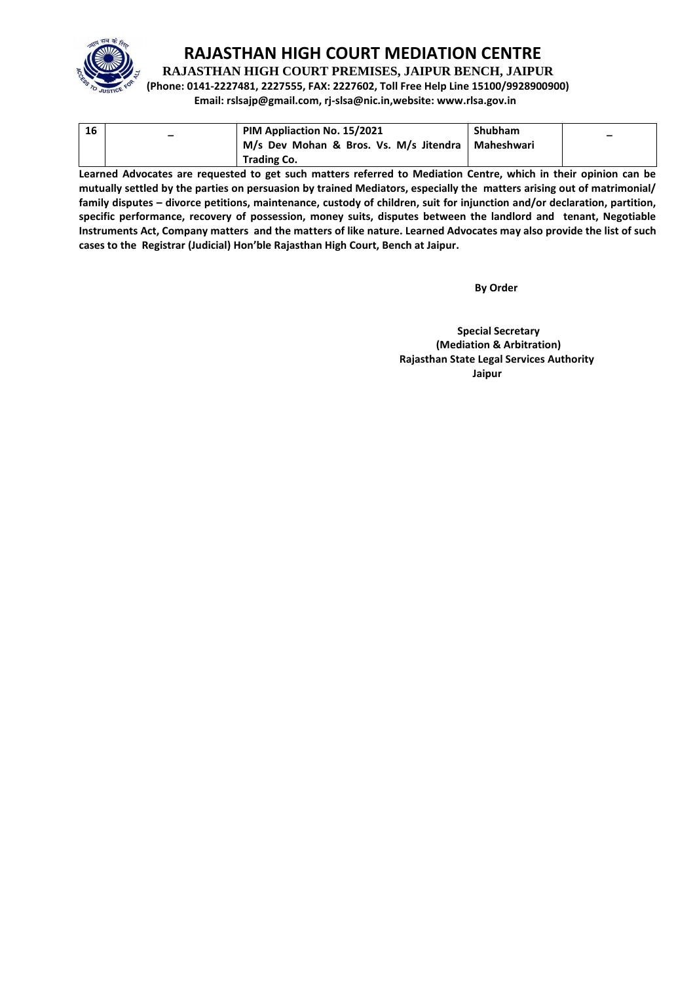

## **RAJASTHAN HIGH COURT MEDIATION CENTRE**

**RAJASTHAN HIGH COURT PREMISES, JAIPUR BENCH, JAIPUR**

**(Phone: 0141-2227481, 2227555, FAX: 2227602, Toll Free Help Line 15100/9928900900)**

**Email: rslsajp@gmail.com, rj-slsa@nic.in,website: www.rlsa.gov.in**

| 16 | - | PIM Appliaction No. 15/2021                         | <b>Shubham</b> | $\overline{\phantom{0}}$ |
|----|---|-----------------------------------------------------|----------------|--------------------------|
|    |   | M/s Dev Mohan & Bros. Vs. M/s Jitendra   Maheshwari |                |                          |
|    |   | <b>Trading Co.</b>                                  |                |                          |

**Learned Advocates are requested to get such matters referred to Mediation Centre, which in their opinion can be mutually settled by the parties on persuasion by trained Mediators, especially the matters arising out of matrimonial/ family disputes – divorce petitions, maintenance, custody of children, suit for injunction and/or declaration, partition, specific performance, recovery of possession, money suits, disputes between the landlord and tenant, Negotiable Instruments Act, Company matters and the matters of like nature. Learned Advocates may also provide the list of such cases to the Registrar (Judicial) Hon'ble Rajasthan High Court, Bench at Jaipur.** 

 **By Order** 

 **Special Secretary (Mediation & Arbitration) Rajasthan State Legal Services Authority Jaipur**